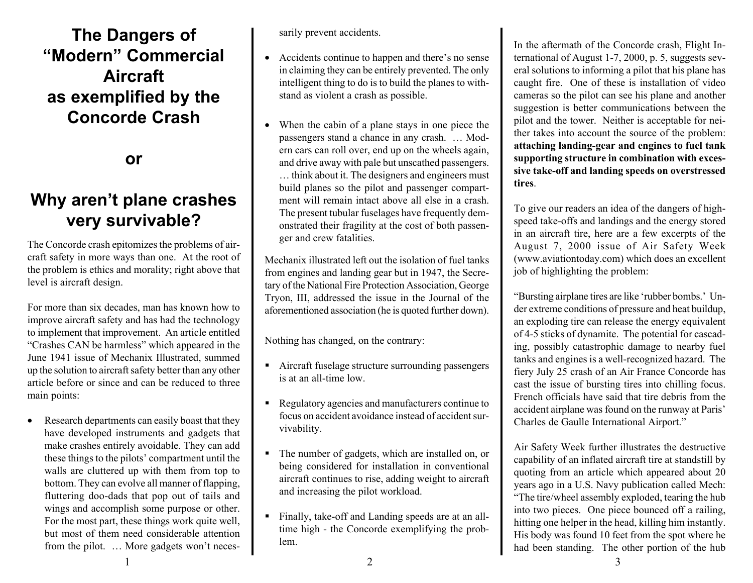## **The Dangers of "Modern" Commercial Aircraft as exemplified by the Concorde Crash**

**or**

## **Why aren't plane crashes very survivable?**

The Concorde crash epitomizes the problems of aircraft safety in more ways than one. At the root of the problem is ethics and morality; right above that level is aircraft design.

For more than six decades, man has known how to improve aircraft safety and has had the technology to implement that improvement. An article entitled "Crashes CAN be harmless" which appeared in the June 1941 issue of Mechanix Illustrated, summed up the solution to aircraft safety better than any other article before or since and can be reduced to three main points:

Research departments can easily boast that they have developed instruments and gadgets that make crashes entirely avoidable. They can add these things to the pilots' compartment until the walls are cluttered up with them from top to bottom. They can evolve all manner of flapping, fluttering doo-dads that pop out of tails and wings and accomplish some purpose or other. For the most part, these things work quite well, but most of them need considerable attention from the pilot. … More gadgets won't necessarily prevent accidents.

- Accidents continue to happen and there's no sense in claiming they can be entirely prevented. The only intelligent thing to do is to build the planes to withstand as violent a crash as possible.
- When the cabin of a plane stays in one piece the passengers stand a chance in any crash. … Modern cars can roll over, end up on the wheels again, and drive away with pale but unscathed passengers. … think about it. The designers and engineers must build planes so the pilot and passenger compartment will remain intact above all else in a crash. The present tubular fuselages have frequently demonstrated their fragility at the cost of both passenger and crew fatalities.

Mechanix illustrated left out the isolation of fuel tanks from engines and landing gear but in 1947, the Secretary of the National Fire Protection Association, George Tryon, III, addressed the issue in the Journal of the aforementioned association (he is quoted further down).

Nothing has changed, on the contrary:

- ! Aircraft fuselage structure surrounding passengers is at an all-time low.
- ! Regulatory agencies and manufacturers continue to focus on accident avoidance instead of accident survivability.
- ! The number of gadgets, which are installed on, or being considered for installation in conventional aircraft continues to rise, adding weight to aircraft and increasing the pilot workload.
- ! Finally, take-off and Landing speeds are at an alltime high - the Concorde exemplifying the problem.

In the aftermath of the Concorde crash, Flight International of August 1-7, 2000, p. 5, suggests several solutions to informing a pilot that his plane has caught fire. One of these is installation of video cameras so the pilot can see his plane and another suggestion is better communications between the pilot and the tower. Neither is acceptable for neither takes into account the source of the problem: **attaching landing-gear and engines to fuel tank supporting structure in combination with excessive take-off and landing speeds on overstressed tires**.

To give our readers an idea of the dangers of highspeed take-offs and landings and the energy stored in an aircraft tire, here are a few excerpts of the August 7, 2000 issue of Air Safety Week (www.aviationtoday.com) which does an excellent job of highlighting the problem:

"Bursting airplane tires are like 'rubber bombs.' Under extreme conditions of pressure and heat buildup, an exploding tire can release the energy equivalent of 4-5 sticks of dynamite. The potential for cascading, possibly catastrophic damage to nearby fuel tanks and engines is a well-recognized hazard. The fiery July 25 crash of an Air France Concorde has cast the issue of bursting tires into chilling focus. French officials have said that tire debris from the accident airplane was found on the runway at Paris' Charles de Gaulle International Airport."

Air Safety Week further illustrates the destructive capability of an inflated aircraft tire at standstill by quoting from an article which appeared about 20 years ago in a U.S. Navy publication called Mech: "The tire/wheel assembly exploded, tearing the hub into two pieces. One piece bounced off a railing, hitting one helper in the head, killing him instantly. His body was found 10 feet from the spot where he had been standing. The other portion of the hub